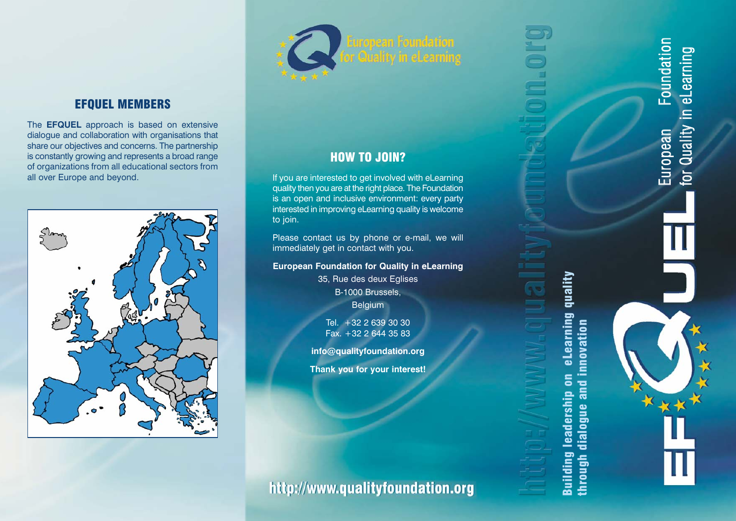

## EFQUEL MEMBERS

The EFQUEL approach is based on extensive dialogue and collaboration with organisations that share our objectives and concerns. The partnership is constantly growing and represents a broad range of organizations from all educational sectors from all over Europe and beyond.



## HOW TO JOIN?

If you are interested to get involved with eLearning quality then you are at the right place. The Foundation is an open and inclusive environment: every party interested in improving eLearning quality is welcome to join.

Please contact us by phone or e-mail, we will immediately get in contact with you.

#### European Foundation for Quality in eLearning

35, Rue des deux Eglises B-1000 Brussels, **Belgium** 

Tel. +32 2 639 30 30 Fax. +32 2 644 35 83

info@qualityfoundation.org

Thank you for your interest!

## http://www.qualityfoundation.org

Building leadership on eLearning quality Building leadership on eLearning quality through dialogue and innovation through dialogue and innovation

Foundation European Foundation Quality in eLearning for Quality in eLearningEuropean  $\overline{a}$